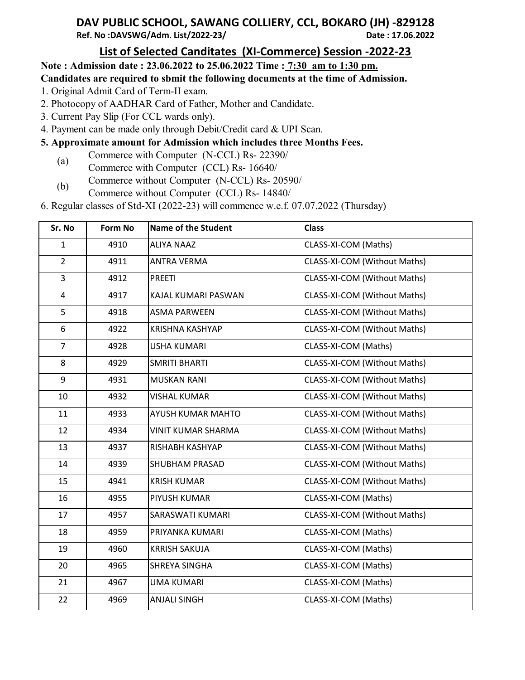## **DAV PUBLIC SCHOOL, SAWANG COLLIERY, CCL, BOKARO (JH) -829128 Ref. No :DAVSWG/Adm. List/2022-23/**

## **List of Selected Canditates (XI-Commerce) Session -2022-23**

## **Note : Admission date : 23.06.2022 to 25.06.2022 Time : 7:30 am to 1:30 pm.**

**Candidates are required to sbmit the following documents at the time of Admission.**

- 1. Original Admit Card of Term-II exam.
- 2. Photocopy of AADHAR Card of Father, Mother and Candidate.
- 3. Current Pay Slip (For CCL wards only).
- 4. Payment can be made only through Debit/Credit card & UPI Scan.
- **5. Approximate amount for Admission which includes three Months Fees.**
	- (a) Commerce with Computer (N-CCL) Rs- 22390/
	- Commerce with Computer (CCL) Rs- 16640/ Commerce without Computer (N-CCL) Rs- 20590/
	- (b) Commerce without Computer (CCL) Rs- 14840/
- 6. Regular classes of Std-XI (2022-23) will commence w.e.f. 07.07.2022 (Thursday)

| Sr. No         | <b>Form No</b> | <b>Name of the Student</b> | <b>Class</b>                 |
|----------------|----------------|----------------------------|------------------------------|
| $\mathbf{1}$   | 4910           | <b>ALIYA NAAZ</b>          | CLASS-XI-COM (Maths)         |
| $\overline{2}$ | 4911           | <b>ANTRA VERMA</b>         | CLASS-XI-COM (Without Maths) |
| 3              | 4912           | <b>PREETI</b>              | CLASS-XI-COM (Without Maths) |
| 4              | 4917           | KAJAL KUMARI PASWAN        | CLASS-XI-COM (Without Maths) |
| 5              | 4918           | <b>ASMA PARWEEN</b>        | CLASS-XI-COM (Without Maths) |
| 6              | 4922           | <b>KRISHNA KASHYAP</b>     | CLASS-XI-COM (Without Maths) |
| $\overline{7}$ | 4928           | <b>USHA KUMARI</b>         | CLASS-XI-COM (Maths)         |
| 8              | 4929           | <b>SMRITI BHARTI</b>       | CLASS-XI-COM (Without Maths) |
| 9              | 4931           | <b>MUSKAN RANI</b>         | CLASS-XI-COM (Without Maths) |
| 10             | 4932           | <b>VISHAL KUMAR</b>        | CLASS-XI-COM (Without Maths) |
| 11             | 4933           | AYUSH KUMAR MAHTO          | CLASS-XI-COM (Without Maths) |
| 12             | 4934           | VINIT KUMAR SHARMA         | CLASS-XI-COM (Without Maths) |
| 13             | 4937           | RISHABH KASHYAP            | CLASS-XI-COM (Without Maths) |
| 14             | 4939           | SHUBHAM PRASAD             | CLASS-XI-COM (Without Maths) |
| 15             | 4941           | <b>KRISH KUMAR</b>         | CLASS-XI-COM (Without Maths) |
| 16             | 4955           | PIYUSH KUMAR               | CLASS-XI-COM (Maths)         |
| 17             | 4957           | SARASWATI KUMARI           | CLASS-XI-COM (Without Maths) |
| 18             | 4959           | PRIYANKA KUMARI            | CLASS-XI-COM (Maths)         |
| 19             | 4960           | <b>KRRISH SAKUJA</b>       | CLASS-XI-COM (Maths)         |
| 20             | 4965           | SHREYA SINGHA              | CLASS-XI-COM (Maths)         |
| 21             | 4967           | <b>UMA KUMARI</b>          | CLASS-XI-COM (Maths)         |
| 22             | 4969           | <b>ANJALI SINGH</b>        | CLASS-XI-COM (Maths)         |